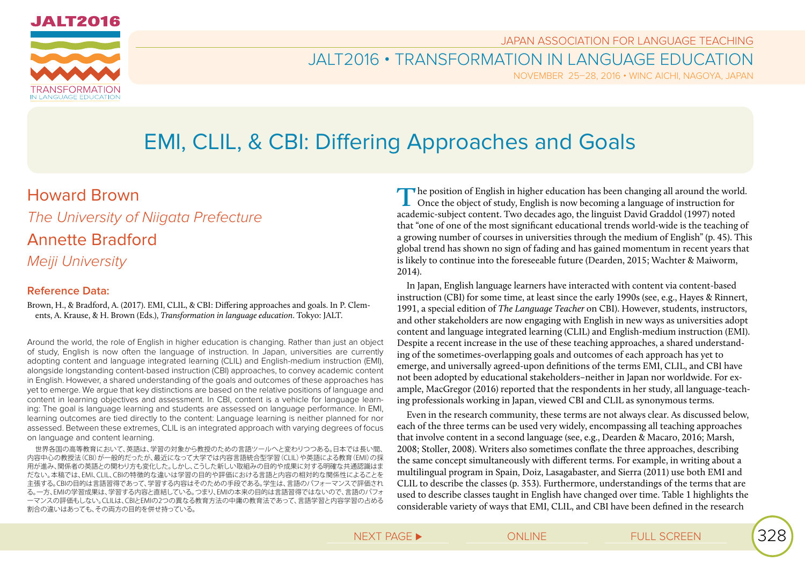

JAPAN ASSOCIATION FOR LANGUAGE TEACHING

### JALT2016 • TRANSFORMATION IN LANGUAGE EDUCATION

NOVEMBER 25–28, 2016 • WINC AICHI, NAGOYA, JAPAN

# EMI, CLIL, & CBI: Differing Approaches and Goals

### Howard Brown

*The University of Niigata Prefecture*

## Annette Bradford

*Meiji University*

### **Reference Data:**

Brown, H., & Bradford, A. (2017). EMI, CLIL, & CBI: Differing approaches and goals. In P. Clements, A. Krause, & H. Brown (Eds.), *Transformation in language education*. Tokyo: JALT.

Around the world, the role of English in higher education is changing. Rather than just an object of study, English is now often the language of instruction. In Japan, universities are currently adopting content and language integrated learning (CLIL) and English-medium instruction (EMI), alongside longstanding content-based instruction (CBI) approaches, to convey academic content in English. However, a shared understanding of the goals and outcomes of these approaches has yet to emerge. We argue that key distinctions are based on the relative positions of language and content in learning objectives and assessment. In CBI, content is a vehicle for language learning: The goal is language learning and students are assessed on language performance. In EMI, learning outcomes are tied directly to the content: Language learning is neither planned for nor assessed. Between these extremes, CLIL is an integrated approach with varying degrees of focus on language and content learning.

世界各国の高等教育において、英語は、学習の対象から教授のための言語ツールへと変わりつつある。日本では長い間、 内容中心の教授法(CBI)が一般的だったが、最近になって大学では内容言語統合型学習(CLIL)や英語による教育(EMI)の採 用が進み、関係者の英語との関わり方も変化した。しかし、こうした新しい取組みの目的や成果に対する明確な共通認識はま だない。本稿では、EMI、CLIL、CBIの特徴的な違いは学習の目的や評価における言語と内容の相対的な関係性によることを 主張する。CBIの目的は言語習得であって、学習する内容はそのための手段である。学生は、言語のパフォーマンスで評価され る。一方、EMIの学習成果は、学習する内容と直結している。つまり、EMIの本来の目的は言語習得ではないので、言語のパフォ ーマンスの評価もしない。CLILは、CBIとEMIの2つの異なる教育方法の中庸の教育法であって、言語学習と内容学習の占める 割合の違いはあっても、その両方の目的を併せ持っている。

The position of English in higher education has been changing all around the world.<br>Once the object of study, English is now becoming a language of instruction for academic-subject content. Two decades ago, the linguist David Graddol (1997) noted that "one of one of the most significant educational trends world-wide is the teaching of a growing number of courses in universities through the medium of English" (p. 45). This global trend has shown no sign of fading and has gained momentum in recent years that is likely to continue into the foreseeable future (Dearden, 2015; Wachter & Maiworm, 2014).

In Japan, English language learners have interacted with content via content-based instruction (CBI) for some time, at least since the early 1990s (see, e.g., Hayes & Rinnert, 1991, a special edition of *The Language Teacher* on CBI). However, students, instructors, and other stakeholders are now engaging with English in new ways as universities adopt content and language integrated learning (CLIL) and English-medium instruction (EMI). Despite a recent increase in the use of these teaching approaches, a shared understanding of the sometimes-overlapping goals and outcomes of each approach has yet to emerge, and universally agreed-upon definitions of the terms EMI, CLIL, and CBI have not been adopted by educational stakeholders–neither in Japan nor worldwide. For example, MacGregor (2016) reported that the respondents in her study, all language-teaching professionals working in Japan, viewed CBI and CLIL as synonymous terms.

Even in the research community, these terms are not always clear. As discussed below, each of the three terms can be used very widely, encompassing all teaching approaches that involve content in a second language (see, e.g., Dearden & Macaro, 2016; Marsh, 2008; Stoller, 2008). Writers also sometimes conflate the three approaches, describing the same concept simultaneously with different terms. For example, in writing about a multilingual program in Spain, Doiz, Lasagabaster, and Sierra (2011) use both EMI and CLIL to describe the classes (p. 353). Furthermore, understandings of the terms that are used to describe classes taught in English have changed over time. Table 1 highlights the considerable variety of ways that EMI, CLIL, and CBI have been defined in the research

NEXT PAGE ► △ ONLINE △ ONLINE FULL SCREEN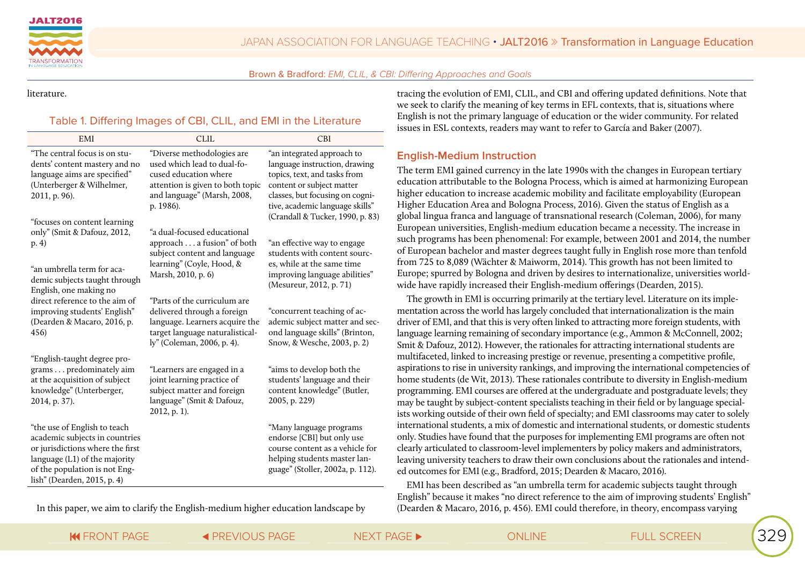



literature.

#### Table 1. Differing Images of CBI, CLIL, and EMI in the Literature

| EMI                                                                                                                                                                                                 | <b>CLIL</b>                                                                                                                                                        | <b>CBI</b>                                                                                                                                                                                     |
|-----------------------------------------------------------------------------------------------------------------------------------------------------------------------------------------------------|--------------------------------------------------------------------------------------------------------------------------------------------------------------------|------------------------------------------------------------------------------------------------------------------------------------------------------------------------------------------------|
| "The central focus is on stu-<br>dents' content mastery and no<br>language aims are specified"<br>(Unterberger & Wilhelmer,<br>2011, p. 96).                                                        | "Diverse methodologies are<br>used which lead to dual-fo-<br>cused education where<br>attention is given to both topic<br>and language" (Marsh, 2008,<br>p. 1986). | "an integrated approach to<br>language instruction, drawing<br>topics, text, and tasks from<br>content or subject matter<br>classes, but focusing on cogni-<br>tive, academic language skills" |
| "focuses on content learning<br>only" (Smit & Dafouz, 2012,<br>p. 4)                                                                                                                                | a dual-focused educational"<br>approach a fusion" of both<br>subject content and language                                                                          | (Crandall & Tucker, 1990, p. 83)<br>"an effective way to engage<br>students with content sourc-                                                                                                |
| "an umbrella term for aca-<br>demic subjects taught through<br>English, one making no                                                                                                               | learning" (Coyle, Hood, &<br>Marsh, 2010, p. 6)                                                                                                                    | es, while at the same time<br>improving language abilities"<br>(Mesureur, 2012, p. 71)                                                                                                         |
| direct reference to the aim of<br>improving students' English"<br>(Dearden & Macaro, 2016, p.<br>456)                                                                                               | "Parts of the curriculum are<br>delivered through a foreign<br>language. Learners acquire the<br>target language naturalistical-<br>ly" (Coleman, 2006, p. 4).     | "concurrent teaching of ac-<br>ademic subject matter and sec-<br>ond language skills" (Brinton,<br>Snow, & Wesche, 2003, p. 2)                                                                 |
| "English-taught degree pro-<br>grams predominately aim<br>at the acquisition of subject<br>knowledge" (Unterberger,<br>2014, p. 37).                                                                | "Learners are engaged in a<br>joint learning practice of<br>subject matter and foreign<br>language" (Smit & Dafouz,<br>2012, p. 1).                                | "aims to develop both the<br>students' language and their<br>content knowledge" (Butler,<br>2005, p. 229)                                                                                      |
| "the use of English to teach<br>academic subjects in countries<br>or jurisdictions where the first<br>language (L1) of the majority<br>of the population is not Eng-<br>lish" (Dearden, 2015, p. 4) |                                                                                                                                                                    | "Many language programs<br>endorse [CBI] but only use<br>course content as a vehicle for<br>helping students master lan-<br>guage" (Stoller, 2002a, p. 112).                                   |

In this paper, we aim to clarify the English-medium higher education landscape by

tracing the evolution of EMI, CLIL, and CBI and offering updated definitions. Note that we seek to clarify the meaning of key terms in EFL contexts, that is, situations where English is not the primary language of education or the wider community. For related  $\sin$  ESL contexts, readers may want to refer to García and Baker (2007).

#### **English-Medium Instruction**

term EMI gained currency in the late 1990s with the changes in European tertiary ation attributable to the Bologna Process, which is aimed at harmonizing European er education to increase academic mobility and facilitate employability (European er Education Area and Bologna Process, 2016). Given the status of English as a d lingua franca and language of transnational research (Coleman, 2006), for many pean universities, English-medium education became a necessity. The increase in programs has been phenomenal: For example, between 2001 and 2014, the number ropean bachelor and master degrees taught fully in English rose more than tenfold 725 to 8,089 (Wächter & Maiworm, 2014). This growth has not been limited to pe; spurred by Bologna and driven by desires to internationalize, universities worldhave rapidly increased their English-medium offerings (Dearden, 2015).

the growth in EMI is occurring primarily at the tertiary level. Literature on its impleation across the world has largely concluded that internationalization is the main  $\cdot$  of EMI, and that this is very often linked to attracting more foreign students, with lage learning remaining of secondary importance (e.g., Ammon & McConnell, 2002;  $\&$  Dafouz, 2012). However, the rationales for attracting international students are faceted, linked to increasing prestige or revenue, presenting a competitive profile, ations to rise in university rankings, and improving the international competencies of students (de Wit, 2013). These rationales contribute to diversity in English-medium amming. EMI courses are offered at the undergraduate and postgraduate levels; they be taught by subject-content specialists teaching in their field or by language specialvorking outside of their own field of specialty; and EMI classrooms may cater to solely national students, a mix of domestic and international students, or domestic students Studies have found that the purposes for implementing EMI programs are often not ly articulated to classroom-level implementers by policy makers and administrators, leavilier university teachers to draw their own conclusions about the rationales and intended outcomes for EMI (e.g., Bradford, 2015; Dearden & Macaro, 2016).

II has been described as "an umbrella term for academic subjects taught through English" because it makes "no direct reference to the aim of improving students' English" (Dearden & Macaro, 2016, p. 456). EMI could therefore, in theory, encompass varying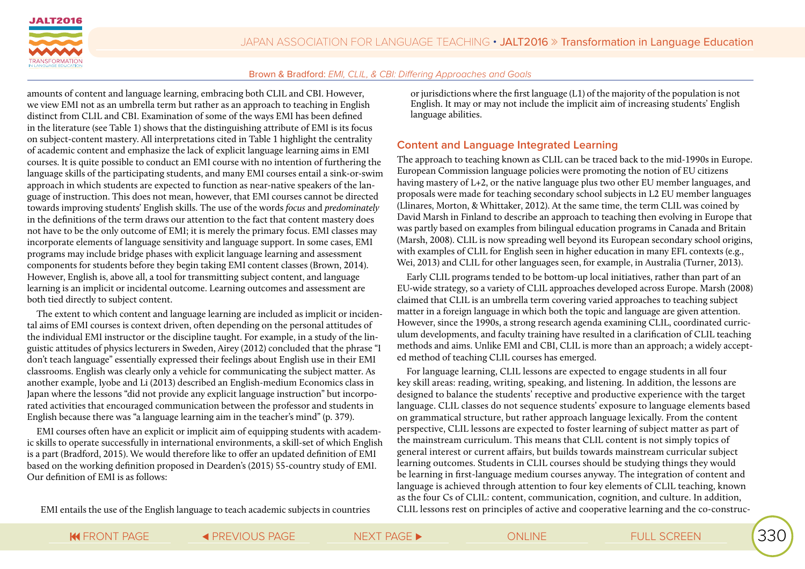

amounts of content and language learning, embracing both CLIL and CBI. However, we view EMI not as an umbrella term but rather as an approach to teaching in English distinct from CLIL and CBI. Examination of some of the ways EMI has been defined in the literature (see Table 1) shows that the distinguishing attribute of EMI is its focus on subject-content mastery. All interpretations cited in Table 1 highlight the centrality of academic content and emphasize the lack of explicit language learning aims in EMI courses. It is quite possible to conduct an EMI course with no intention of furthering the language skills of the participating students, and many EMI courses entail a sink-or-swim approach in which students are expected to function as near-native speakers of the language of instruction. This does not mean, however, that EMI courses cannot be directed towards improving students' English skills. The use of the words *focus* and *predominately* in the definitions of the term draws our attention to the fact that content mastery does not have to be the only outcome of EMI; it is merely the primary focus. EMI classes may incorporate elements of language sensitivity and language support. In some cases, EMI programs may include bridge phases with explicit language learning and assessment components for students before they begin taking EMI content classes (Brown, 2014). However, English is, above all, a tool for transmitting subject content, and language learning is an implicit or incidental outcome. Learning outcomes and assessment are both tied directly to subject content.

The extent to which content and language learning are included as implicit or incidental aims of EMI courses is context driven, often depending on the personal attitudes of the individual EMI instructor or the discipline taught. For example, in a study of the linguistic attitudes of physics lecturers in Sweden, Airey (2012) concluded that the phrase "I don't teach language" essentially expressed their feelings about English use in their EMI classrooms. English was clearly only a vehicle for communicating the subject matter. As another example, Iyobe and Li (2013) described an English-medium Economics class in Japan where the lessons "did not provide any explicit language instruction" but incorporated activities that encouraged communication between the professor and students in English because there was "a language learning aim in the teacher's mind" (p. 379).

EMI courses often have an explicit or implicit aim of equipping students with academic skills to operate successfully in international environments, a skill-set of which English is a part (Bradford, 2015). We would therefore like to offer an updated definition of EMI based on the working definition proposed in Dearden's (2015) 55-country study of EMI. Our definition of EMI is as follows:

or jurisdictions where the first language (L1) of the majority of the population is not English. It may or may not include the implicit aim of increasing students' English language abilities.

#### **Content and Language Integrated Learning**

The approach to teaching known as CLIL can be traced back to the mid-1990s in Europe. European Commission language policies were promoting the notion of EU citizens having mastery of L+2, or the native language plus two other EU member languages, and proposals were made for teaching secondary school subjects in L2 EU member languages (Llinares, Morton, & Whittaker, 2012). At the same time, the term CLIL was coined by David Marsh in Finland to describe an approach to teaching then evolving in Europe that was partly based on examples from bilingual education programs in Canada and Britain (Marsh, 2008). CLIL is now spreading well beyond its European secondary school origins, with examples of CLIL for English seen in higher education in many EFL contexts (e.g., Wei, 2013) and CLIL for other languages seen, for example, in Australia (Turner, 2013).

Early CLIL programs tended to be bottom-up local initiatives, rather than part of an EU-wide strategy, so a variety of CLIL approaches developed across Europe. Marsh (2008) claimed that CLIL is an umbrella term covering varied approaches to teaching subject matter in a foreign language in which both the topic and language are given attention. However, since the 1990s, a strong research agenda examining CLIL, coordinated curriculum developments, and faculty training have resulted in a clarification of CLIL teaching methods and aims. Unlike EMI and CBI, CLIL is more than an approach; a widely accepted method of teaching CLIL courses has emerged.

For language learning, CLIL lessons are expected to engage students in all four key skill areas: reading, writing, speaking, and listening. In addition, the lessons are designed to balance the students' receptive and productive experience with the target language. CLIL classes do not sequence students' exposure to language elements based on grammatical structure, but rather approach language lexically. From the content perspective, CLIL lessons are expected to foster learning of subject matter as part of the mainstream curriculum. This means that CLIL content is not simply topics of general interest or current affairs, but builds towards mainstream curricular subject learning outcomes. Students in CLIL courses should be studying things they would be learning in first-language medium courses anyway. The integration of content and language is achieved through attention to four key elements of CLIL teaching, known as the four Cs of CLIL: content, communication, cognition, and culture. In addition, CLIL lessons rest on principles of active and cooperative learning and the co-construc-

EMI entails the use of the English language to teach academic subjects in countries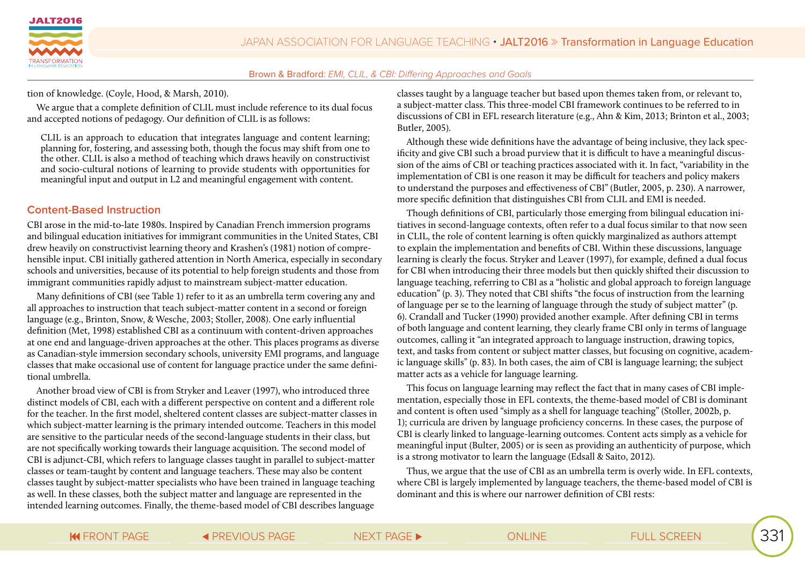

tion of knowledge. (Coyle, Hood, & Marsh, 2010).

We argue that a complete definition of CLIL must include reference to its dual focus and accepted notions of pedagogy. Our definition of CLIL is as follows:

CLIL is an approach to education that integrates language and content learning; planning for, fostering, and assessing both, though the focus may shift from one to the other. CLIL is also a method of teaching which draws heavily on constructivist and socio-cultural notions of learning to provide students with opportunities for meaningful input and output in L2 and meaningful engagement with content.

#### **Content-Based Instruction**

CBI arose in the mid-to-late 1980s. Inspired by Canadian French immersion programs and bilingual education initiatives for immigrant communities in the United States, CBI drew heavily on constructivist learning theory and Krashen's (1981) notion of comprehensible input. CBI initially gathered attention in North America, especially in secondary schools and universities, because of its potential to help foreign students and those from immigrant communities rapidly adjust to mainstream subject-matter education.

Many definitions of CBI (see Table 1) refer to it as an umbrella term covering any and all approaches to instruction that teach subject-matter content in a second or foreign language (e.g., Brinton, Snow, & Wesche, 2003; Stoller, 2008). One early influential definition (Met, 1998) established CBI as a continuum with content-driven approaches at one end and language-driven approaches at the other. This places programs as diverse as Canadian-style immersion secondary schools, university EMI programs, and language classes that make occasional use of content for language practice under the same definitional umbrella.

Another broad view of CBI is from Stryker and Leaver (1997), who introduced three distinct models of CBI, each with a different perspective on content and a different role for the teacher. In the first model, sheltered content classes are subject-matter classes in which subject-matter learning is the primary intended outcome. Teachers in this model are sensitive to the particular needs of the second-language students in their class, but are not specifically working towards their language acquisition. The second model of CBI is adjunct-CBI, which refers to language classes taught in parallel to subject-matter classes or team-taught by content and language teachers. These may also be content classes taught by subject-matter specialists who have been trained in language teaching as well. In these classes, both the subject matter and language are represented in the intended learning outcomes. Finally, the theme-based model of CBI describes language

classes taught by a language teacher but based upon themes taken from, or relevant to, a subject-matter class. This three-model CBI framework continues to be referred to in discussions of CBI in EFL research literature (e.g., Ahn & Kim, 2013; Brinton et al., 2003; Butler, 2005).

Although these wide definitions have the advantage of being inclusive, they lack specificity and give CBI such a broad purview that it is difficult to have a meaningful discussion of the aims of CBI or teaching practices associated with it. In fact, "variability in the implementation of CBI is one reason it may be difficult for teachers and policy makers to understand the purposes and effectiveness of CBI" (Butler, 2005, p. 230). A narrower, more specific definition that distinguishes CBI from CLIL and EMI is needed.

Though definitions of CBI, particularly those emerging from bilingual education initiatives in second-language contexts, often refer to a dual focus similar to that now seen in CLIL, the role of content learning is often quickly marginalized as authors attempt to explain the implementation and benefits of CBI. Within these discussions, language learning is clearly the focus. Stryker and Leaver (1997), for example, defined a dual focus for CBI when introducing their three models but then quickly shifted their discussion to language teaching, referring to CBI as a "holistic and global approach to foreign language education" (p. 3). They noted that CBI shifts "the focus of instruction from the learning of language per se to the learning of language through the study of subject matter" (p. 6). Crandall and Tucker (1990) provided another example. After defining CBI in terms of both language and content learning, they clearly frame CBI only in terms of language outcomes, calling it "an integrated approach to language instruction, drawing topics, text, and tasks from content or subject matter classes, but focusing on cognitive, academic language skills" (p. 83). In both cases, the aim of CBI is language learning; the subject matter acts as a vehicle for language learning.

This focus on language learning may reflect the fact that in many cases of CBI implementation, especially those in EFL contexts, the theme-based model of CBI is dominant and content is often used "simply as a shell for language teaching" (Stoller, 2002b, p. 1); curricula are driven by language proficiency concerns. In these cases, the purpose of CBI is clearly linked to language-learning outcomes. Content acts simply as a vehicle for meaningful input (Bulter, 2005) or is seen as providing an authenticity of purpose, which is a strong motivator to learn the language (Edsall & Saito, 2012).

Thus, we argue that the use of CBI as an umbrella term is overly wide. In EFL contexts, where CBI is largely implemented by language teachers, the theme-based model of CBI is dominant and this is where our narrower definition of CBI rests: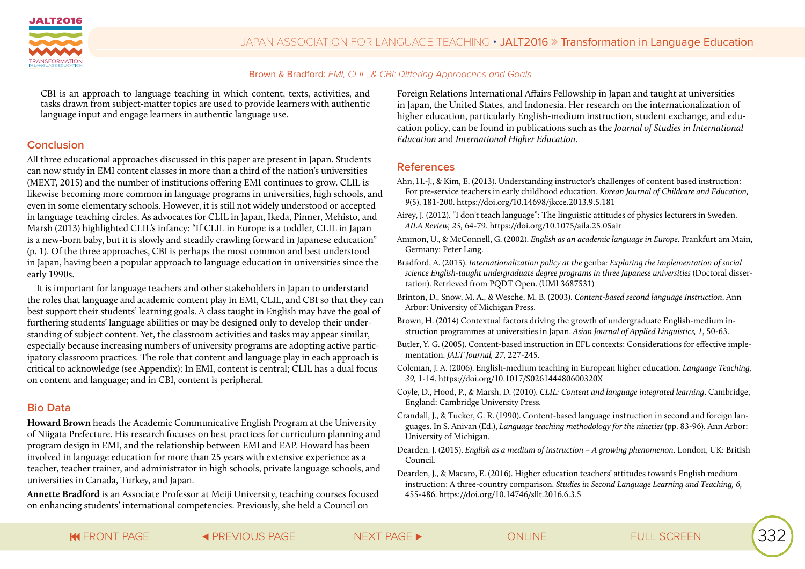

CBI is an approach to language teaching in which content, texts, activities, and tasks drawn from subject-matter topics are used to provide learners with authentic language input and engage learners in authentic language use.

#### **Conclusion**

All three educational approaches discussed in this paper are present in Japan. Students can now study in EMI content classes in more than a third of the nation's universities (MEXT, 2015) and the number of institutions offering EMI continues to grow. CLIL is likewise becoming more common in language programs in universities, high schools, and even in some elementary schools. However, it is still not widely understood or accepted in language teaching circles. As advocates for CLIL in Japan, Ikeda, Pinner, Mehisto, and Marsh (2013) highlighted CLIL's infancy: "If CLIL in Europe is a toddler, CLIL in Japan is a new-born baby, but it is slowly and steadily crawling forward in Japanese education" (p. 1). Of the three approaches, CBI is perhaps the most common and best understood in Japan, having been a popular approach to language education in universities since the early 1990s.

It is important for language teachers and other stakeholders in Japan to understand the roles that language and academic content play in EMI, CLIL, and CBI so that they can best support their students' learning goals. A class taught in English may have the goal of furthering students' language abilities or may be designed only to develop their understanding of subject content. Yet, the classroom activities and tasks may appear similar, especially because increasing numbers of university programs are adopting active participatory classroom practices. The role that content and language play in each approach is critical to acknowledge (see Appendix): In EMI, content is central; CLIL has a dual focus on content and language; and in CBI, content is peripheral.

#### **Bio Data**

**Howard Brown** heads the Academic Communicative English Program at the University of Niigata Prefecture. His research focuses on best practices for curriculum planning and program design in EMI, and the relationship between EMI and EAP. Howard has been involved in language education for more than 25 years with extensive experience as a teacher, teacher trainer, and administrator in high schools, private language schools, and universities in Canada, Turkey, and Japan.

**Annette Bradford** is an Associate Professor at Meiji University, teaching courses focused on enhancing students' international competencies. Previously, she held a Council on

Foreign Relations International Affairs Fellowship in Japan and taught at universities in Japan, the United States, and Indonesia. Her research on the internationalization of higher education, particularly English-medium instruction, student exchange, and education policy, can be found in publications such as the *Journal of Studies in International Education* and *International Higher Education*.

#### **References**

- Ahn, H.-J., & Kim, E. (2013). Understanding instructor's challenges of content based instruction: For pre-service teachers in early childhood education. *Korean Journal of Childcare and Education, 9*(5), 181-200. https://doi.org/10.14698/jkcce.2013.9.5.181
- Airey, J. (2012). "I don't teach language": The linguistic attitudes of physics lecturers in Sweden. *AILA Review, 25,* 64-79. https://doi.org/10.1075/aila.25.05air
- Ammon, U., & McConnell, G. (2002). *English as an academic language in Europe*. Frankfurt am Main, Germany: Peter Lang.
- Bradford, A. (2015). *Internationalization policy at the* genba*: Exploring the implementation of social science English-taught undergraduate degree programs in three Japanese universities* (Doctoral dissertation). Retrieved from PQDT Open. (UMI 3687531)
- Brinton, D., Snow, M. A., & Wesche, M. B. (2003). *Content-based second language Instruction*. Ann Arbor: University of Michigan Press.
- Brown, H. (2014) Contextual factors driving the growth of undergraduate English-medium instruction programmes at universities in Japan. *Asian Journal of Applied Linguistics, 1*, 50-63.
- Butler, Y. G. (2005). Content-based instruction in EFL contexts: Considerations for effective implementation. *JALT Journal, 27,* 227-245.
- Coleman, J. A. (2006). English-medium teaching in European higher education. *Language Teaching, 39,* 1-14. https://doi.org/10.1017/S026144480600320X
- Coyle, D., Hood, P., & Marsh, D. (2010). *CLIL: Content and language integrated learning*. Cambridge, England: Cambridge University Press.
- Crandall, J., & Tucker, G. R. (1990). Content-based language instruction in second and foreign languages. In S. Anivan (Ed.), *Language teaching methodology for the nineties* (pp. 83-96). Ann Arbor: University of Michigan.
- Dearden, J. (2015). *English as a medium of instruction A growing phenomenon*. London, UK: British Council.
- Dearden, J., & Macaro, E. (2016). Higher education teachers' attitudes towards English medium instruction: A three-country comparison. *Studies in Second Language Learning and Teaching, 6,*  455-486. https://doi.org/10.14746/sllt.2016.6.3.5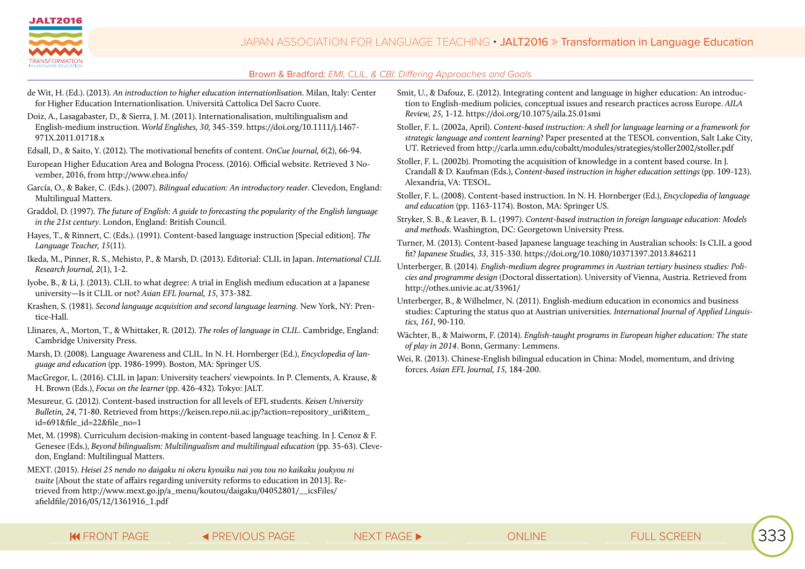

- de Wit, H. (Ed.). (2013). *An introduction to higher education internationlisation*. Milan, Italy: Center for Higher Education Internationlisation. Università Cattolica Del Sacro Cuore.
- Doiz, A., Lasagabaster, D., & Sierra, J. M. (2011). Internationalisation, multilingualism and English-medium instruction. *World Englishes, 30,* 345-359. https://doi.org/10.1111/j.1467- 971X.2011.01718.x
- Edsall, D., & Saito, Y. (2012). The motivational benefits of content. *OnCue Journal, 6*(2), 66-94.
- European Higher Education Area and Bologna Process. (2016). Official website. Retrieved 3 November, 2016, from http://www.ehea.info/
- García, O., & Baker, C. (Eds.). (2007). *Bilingual education: An introductory reader*. Clevedon, England: Multilingual Matters.
- Graddol, D. (1997). *The future of English: A guide to forecasting the popularity of the English language in the 21st century*. London, England: British Council.
- Hayes, T., & Rinnert, C. (Eds.). (1991). Content-based language instruction [Special edition]. *The Language Teacher, 15*(11).
- Ikeda, M., Pinner, R. S., Mehisto, P., & Marsh, D. (2013). Editorial: CLIL in Japan. *International CLIL Research Journal, 2*(1), 1-2.
- Iyobe, B., & Li, J. (2013). CLIL to what degree: A trial in English medium education at a Japanese university—Is it CLIL or not? *Asian EFL Journal, 15,* 373-382.
- Krashen, S. (1981). *Second language acquisition and second language learning*. New York, NY: Prentice-Hall.
- Llinares, A., Morton, T., & Whittaker, R. (2012). *The roles of language in CLIL*. Cambridge, England: Cambridge University Press.
- Marsh, D. (2008). Language Awareness and CLIL. In N. H. Hornberger (Ed.), *Encyclopedia of language and education* (pp. 1986-1999). Boston, MA: Springer US.
- MacGregor, L. (2016). CLIL in Japan: University teachers' viewpoints. In P. Clements, A. Krause, & H. Brown (Eds.), *Focus on the learner* (pp. 426-432)*.* Tokyo: JALT.
- Mesureur, G. (2012). Content-based instruction for all levels of EFL students. *Keisen University Bulletin, 24,* 71-80. Retrieved from https://keisen.repo.nii.ac.jp/?action=repository\_uri&item\_ id=691&file\_id=22&file\_no=1
- Met, M. (1998). Curriculum decision-making in content-based language teaching. In J. Cenoz & F. Genesee (Eds.), *Beyond bilingualism: Multilingualism and multilingual education* (pp. 35-63). Clevedon, England: Multilingual Matters.
- MEXT. (2015). *Heisei 25 nendo no daigaku ni okeru kyouiku nai you tou no kaikaku joukyou ni tsuite* [About the state of affairs regarding university reforms to education in 2013]. Retrieved from http://www.mext.go.jp/a\_menu/koutou/daigaku/04052801/\_\_icsFiles/ afieldfile/2016/05/12/1361916\_1.pdf
- Smit, U., & Dafouz, E. (2012). Integrating content and language in higher education: An introduction to English-medium policies, conceptual issues and research practices across Europe. *AILA Review, 25,* 1-12. https://doi.org/10.1075/aila.25.01smi
- Stoller, F. L. (2002a, April). *Content-based instruction: A shell for language learning or a framework for strategic language and content learning*? Paper presented at the TESOL convention, Salt Lake City, UT. Retrieved from http://carla.umn.edu/cobaltt/modules/strategies/stoller2002/stoller.pdf
- Stoller, F. L. (2002b). Promoting the acquisition of knowledge in a content based course. In J. Crandall & D. Kaufman (Eds.), *Content-based instruction in higher education settings* (pp. 109-123). Alexandria, VA: TESOL.
- Stoller, F. L. (2008). Content-based instruction. In N. H. Hornberger (Ed.), *Encyclopedia of language and education* (pp. 1163-1174). Boston, MA: Springer US.
- Stryker, S. B., & Leaver, B. L. (1997). *Content-based instruction in foreign language education: Models and methods*. Washington, DC: Georgetown University Press.
- Turner, M. (2013). Content-based Japanese language teaching in Australian schools: Is CLIL a good fit? *Japanese Studies, 33,* 315-330. https://doi.org/10.1080/10371397.2013.846211
- Unterberger, B. (2014). *English-medium degree programmes in Austrian tertiary business studies: Policies and programme design* (Doctoral dissertation). University of Vienna, Austria. Retrieved from http://othes.univie.ac.at/33961/
- Unterberger, B., & Wilhelmer, N. (2011). English-medium education in economics and business studies: Capturing the status quo at Austrian universities. *International Journal of Applied Linguistics, 161,* 90-110.
- Wächter, B., & Maiworm, F. (2014). *English-taught programs in European higher education: The state of play in 2014*. Bonn, Germany: Lemmens.
- Wei, R. (2013). Chinese-English bilingual education in China: Model, momentum, and driving forces. *Asian EFL Journal, 15,* 184-200.